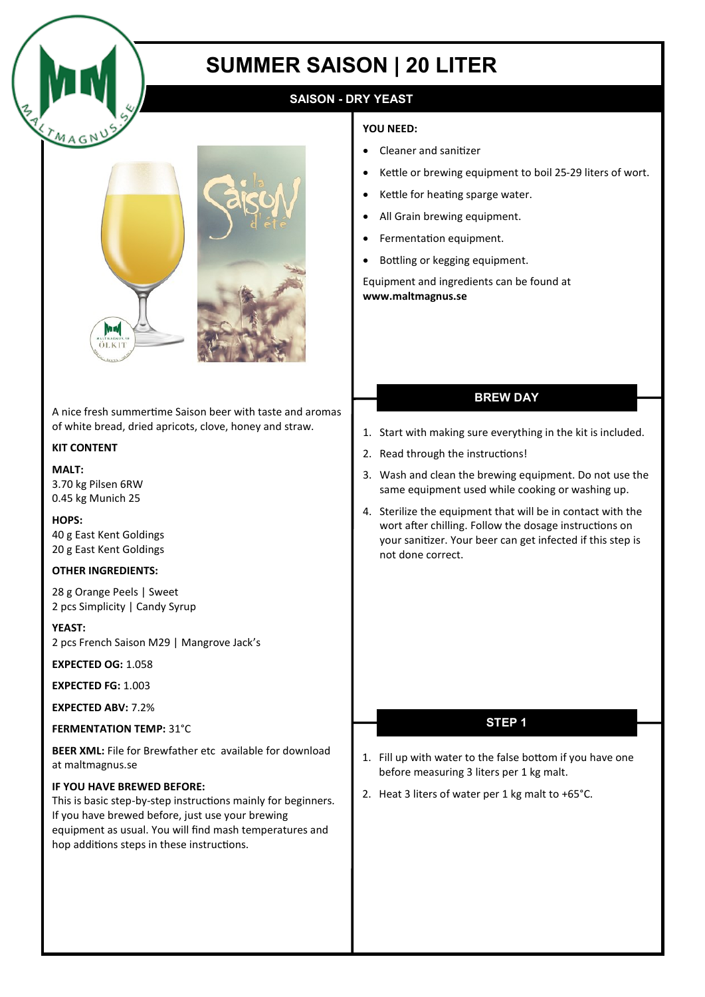

# **SUMMER SAISON | 20 LITER**

# **SAISON - DRY YEAST**

#### **YOU NEED:**

- Cleaner and sanitizer
- Kettle or brewing equipment to boil 25-29 liters of wort.
- Kettle for heating sparge water.
- All Grain brewing equipment.
- Fermentation equipment.
- Bottling or kegging equipment.

Equipment and ingredients can be found at **www.maltmagnus.se** 

A nice fresh summertime Saison beer with taste and aromas of white bread, dried apricots, clove, honey and straw.

## **KIT CONTENT**

#### **MALT:**

3.70 kg Pilsen 6RW 0.45 kg Munich 25

**HOPS:** 40 g East Kent Goldings 20 g East Kent Goldings

#### **OTHER INGREDIENTS:**

28 g Orange Peels | Sweet 2 pcs Simplicity | Candy Syrup

**YEAST:** 2 pcs French Saison M29 | Mangrove Jack's

**EXPECTED OG:** 1.058

**EXPECTED FG:** 1.003

**EXPECTED ABV:** 7.2%

#### **FERMENTATION TEMP:** 31°C

**BEER XML:** File for Brewfather etc available for download at maltmagnus.se

### **IF YOU HAVE BREWED BEFORE:**

This is basic step-by-step instructions mainly for beginners. If you have brewed before, just use your brewing equipment as usual. You will find mash temperatures and hop additions steps in these instructions.

## **BREW DAY**

- 1. Start with making sure everything in the kit is included.
- 2. Read through the instructions!
- 3. Wash and clean the brewing equipment. Do not use the same equipment used while cooking or washing up.
- 4. Sterilize the equipment that will be in contact with the wort after chilling. Follow the dosage instructions on your sanitizer. Your beer can get infected if this step is not done correct.

## **STEP 1**

- 1. Fill up with water to the false bottom if you have one before measuring 3 liters per 1 kg malt.
- 2. Heat 3 liters of water per 1 kg malt to +65°C.